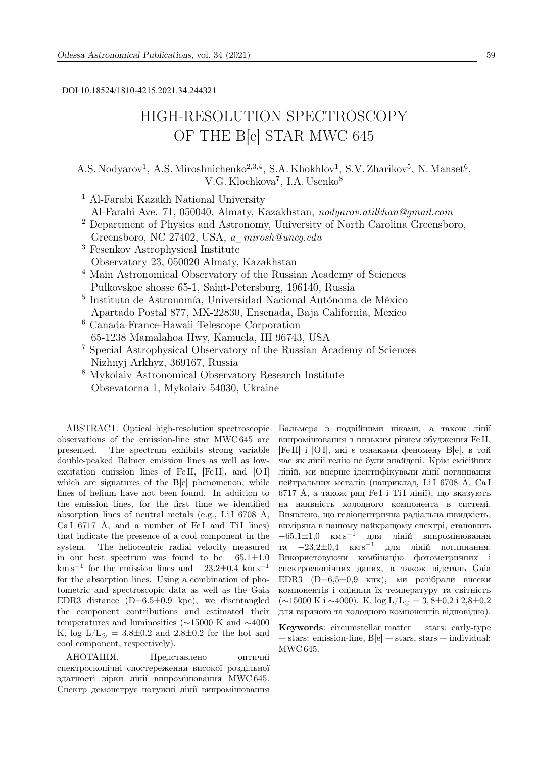DOI 10.18524/1810-4215.2021.34.244321

# HIGH-RESOLUTION SPECTROSCOPY OF THE B[e] STAR MWC 645

A.S. Nodyarov<sup>1</sup>, A.S. Miroshnichenko<sup>2,3,4</sup>, S.A. Khokhlov<sup>1</sup>, S.V. Zharikov<sup>5</sup>, N. Manset<sup>6</sup>, V.G. Klochkova<sup>7</sup>, I.A. Usenko<sup>8</sup>

<sup>1</sup> Al-Farabi Kazakh National University

Al-Farabi Ave. 71, 050040, Almaty, Kazakhstan, nodyarov.atilkhan@gmail.com

- <sup>2</sup> Department of Physics and Astronomy, University of North Carolina Greensboro, Greensboro, NC 27402, USA, a\_mirosh@uncg.edu
- <sup>3</sup> Fesenkov Astrophysical Institute Observatory 23, 050020 Almaty, Kazakhstan
- <sup>4</sup> Main Astronomical Observatory of the Russian Academy of Sciences Pulkovskoe shosse 65-1, Saint-Petersburg, 196140, Russia
- $^5$ Instituto de Astronomía, Universidad Nacional Autónoma de México Apartado Postal 877, MX-22830, Ensenada, Baja California, Mexico
- <sup>6</sup> Canada-France-Hawaii Telescope Corporation 65-1238 Mamalahoa Hwy, Kamuela, HI 96743, USA
- <sup>7</sup> Special Astrophysical Observatory of the Russian Academy of Sciences Nizhnyj Arkhyz, 369167, Russia
- <sup>8</sup> Mykolaiv Astronomical Observatory Research Institute Obsevatorna 1, Mykolaiv 54030, Ukraine

ABSTRACT. Optical high-resolution spectroscopic observations of the emission-line star MWC 645 are presented. The spectrum exhibits strong variable double-peaked Balmer emission lines as well as lowexcitation emission lines of Fe II, [Fe II], and [O I] which are signatures of the B[e] phenomenon, while lines of helium have not been found. In addition to the emission lines, for the first time we identified absorption lines of neutral metals (e.g., LiI 6708  $\AA$ , Ca I 6717 Å, and a number of Fe I and Ti I lines) that indicate the presence of a cool component in the system. The heliocentric radial velocity measured in our best spectrum was found to be −65.1±1.0  $km s^{-1}$  for the emission lines and  $-23.2\pm0.4$  km s<sup>-1</sup> for the absorption lines. Using a combination of photometric and spectroscopic data as well as the Gaia EDR3 distance  $(D=6.5\pm0.9 \text{ kpc})$ , we disentangled the component contributions and estimated their temperatures and luminosities (∼15000 K and ∼4000 K,  $log L/L_0 = 3.8 \pm 0.2$  and  $2.8 \pm 0.2$  for the hot and cool component, respectively).

АНОТАЦIЯ. Представлено оптичнi спектроскопiчнi спостереження високої роздiльної здатностi зiрки лiнiї випромiнювання MWC 645. Спектр демонструє потужнi лiнiї випромiнювання Бальмера з подвiйними пiками, а також лiнiї випромiнювання з низьким рiвнем збудження Fe II, [Fe II] i [O I], якi є ознаками феномену B[e], в той час як лiнiї гелiю не були знайденi. Крiм емiсiйних лiнiй, ми вперше iдентифiкували лiнiї поглинання нейтральних металів (наприклад, LiI 6708 Å, CaI 6717 Å, а також ряд Fe I i Ti I лінії), що вказують на наявнiсть холодного компонента в системi. Виявлено, що гелiоцентрична радiальна швидкiсть, вимiряна в нашому найкращому спектрi, становить  $-65,1\pm1,0$  км s<sup>-1</sup> для ліній випромінювання та  $-23,2\pm0,4$  км  $\rm s^{-1}$  для ліній поглинання. Використовуючи комбiнацiю фотометричних i спектроскопiчних даних, а також вiдстань Gaia EDR3 (D= $6,5\pm0,9$  кпк), ми розібрали внески компонентiв i оцiнили їх температуру та свiтнiсть  $(\sim 15000 \text{ K}) \sim 4000$ . K, log L/L<sub>⊙</sub> = 3,8±0,2 i 2,8±0,2 для гарячого та холодного компонентiв вiдповiдно).

Keywords: circumstellar matter  $-$  stars: early-type — stars: emission-line, B[e] — stars, stars — individual: MWC 645.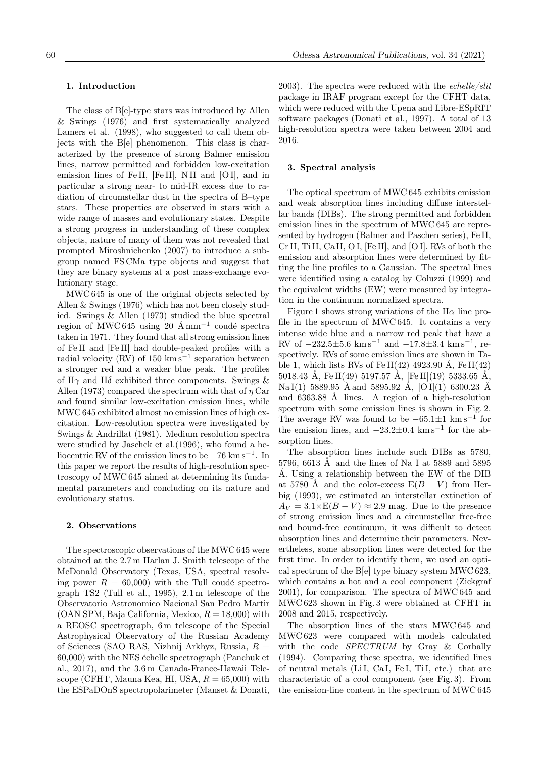## 1. Introduction

The class of B[e]-type stars was introduced by Allen & Swings (1976) and first systematically analyzed Lamers et al. (1998), who suggested to call them objects with the B[e] phenomenon. This class is characterized by the presence of strong Balmer emission lines, narrow permitted and forbidden low-excitation emission lines of Fe II, [Fe II], N II and [O I], and in particular a strong near- to mid-IR excess due to radiation of circumstellar dust in the spectra of B–type stars. These properties are observed in stars with a wide range of masses and evolutionary states. Despite a strong progress in understanding of these complex objects, nature of many of them was not revealed that prompted Miroshnichenko (2007) to introduce a subgroup named FS CMa type objects and suggest that they are binary systems at a post mass-exchange evolutionary stage.

MWC 645 is one of the original objects selected by Allen & Swings (1976) which has not been closely studied. Swings & Allen (1973) studied the blue spectral region of MWC 645 using 20 Å mm<sup>-1</sup> coudé spectra taken in 1971. They found that all strong emission lines of Fe II and [Fe II] had double-peaked profiles with a radial velocity (RV) of 150 km s<sup>-1</sup> separation between a stronger red and a weaker blue peak. The profiles of  $H\gamma$  and  $H\delta$  exhibited three components. Swings & Allen (1973) compared the spectrum with that of  $\eta$  Car and found similar low-excitation emission lines, while MWC 645 exhibited almost no emission lines of high excitation. Low-resolution spectra were investigated by Swings & Andrillat (1981). Medium resolution spectra were studied by Jaschek et al.(1996), who found a heliocentric RV of the emission lines to be −76 km s<sup>−</sup><sup>1</sup> . In this paper we report the results of high-resolution spectroscopy of MWC 645 aimed at determining its fundamental parameters and concluding on its nature and evolutionary status.

## 2. Observations

The spectroscopic observations of the MWC 645 were obtained at the 2.7 m Harlan J. Smith telescope of the McDonald Observatory (Texas, USA, spectral resolving power  $R = 60,000$  with the Tull coudé spectrograph TS2 (Tull et al., 1995), 2.1 m telescope of the Observatorio Astronomico Nacional San Pedro Martir (OAN SPM, Baja California, Mexico,  $R = 18,000$ ) with a REOSC spectrograph, 6 m telescope of the Special Astrophysical Observatory of the Russian Academy of Sciences (SAO RAS, Nizhnij Arkhyz, Russia,  $R =$  $60,000$ ) with the NES  $\acute{e}$ chelle spectrograph (Panchuk et al., 2017), and the 3.6 m Canada-France-Hawaii Telescope (CFHT, Mauna Kea, HI, USA,  $R = 65,000$ ) with the ESPaDOnS spectropolarimeter (Manset & Donati, 2003). The spectra were reduced with the  $echelle/slit$ package in IRAF program except for the CFHT data, which were reduced with the Upena and Libre-ESpRIT software packages (Donati et al., 1997). A total of 13 high-resolution spectra were taken between 2004 and 2016.

## 3. Spectral analysis

The optical spectrum of MWC 645 exhibits emission and weak absorption lines including diffuse interstellar bands (DIBs). The strong permitted and forbidden emission lines in the spectrum of MWC 645 are represented by hydrogen (Balmer and Paschen series), Fe II, Cr II, Ti II, Ca II, O I, [Fe II], and [O I]. RVs of both the emission and absorption lines were determined by fitting the line profiles to a Gaussian. The spectral lines were identified using a catalog by Coluzzi (1999) and the equivalent widths (EW) were measured by integration in the continuum normalized spectra.

Figure 1 shows strong variations of the  $H\alpha$  line profile in the spectrum of MWC 645. It contains a very intense wide blue and a narrow red peak that have a RV of  $-232.5\pm5.6$  km s<sup>-1</sup> and  $-17.8\pm3.4$  km s<sup>-1</sup>, respectively. RVs of some emission lines are shown in Table 1, which lists RVs of Fe II(42) 4923.90 Å, Fe II(42) 5018.43 Å, Fe II(49) 5197.57 Å, [Fe II](19) 5333.65 Å, Na I(1) 5889.95 Å and 5895.92 Å, [O I](1) 6300.23 Å and 6363.88 Å lines. A region of a high-resolution spectrum with some emission lines is shown in Fig. 2. The average RV was found to be  $-65.1 \pm 1$  km s<sup>-1</sup> for the emission lines, and  $-23.2 \pm 0.4$  km s<sup>-1</sup> for the absorption lines.

The absorption lines include such DIBs as 5780, 5796, 6613 Å and the lines of Na I at 5889 and 5895 A. Using a relationship between the EW of the DIB at 5780 Å and the color-excess  $E(B - V)$  from Herbig (1993), we estimated an interstellar extinction of  $A_V = 3.1 \times E(B-V) \approx 2.9$  mag. Due to the presence of strong emission lines and a circumstellar free-free and bound-free continuum, it was difficult to detect absorption lines and determine their parameters. Nevertheless, some absorption lines were detected for the first time. In order to identify them, we used an optical spectrum of the B[e] type binary system MWC 623, which contains a hot and a cool component (Zickgraf 2001), for comparison. The spectra of MWC 645 and MWC 623 shown in Fig. 3 were obtained at CFHT in 2008 and 2015, respectively.

The absorption lines of the stars MWC 645 and MWC 623 were compared with models calculated with the code **SPECTRUM** by Gray & Corbally (1994). Comparing these spectra, we identified lines of neutral metals (Li I, Ca I, Fe I, Ti I, etc.) that are characteristic of a cool component (see Fig. 3). From the emission-line content in the spectrum of MWC 645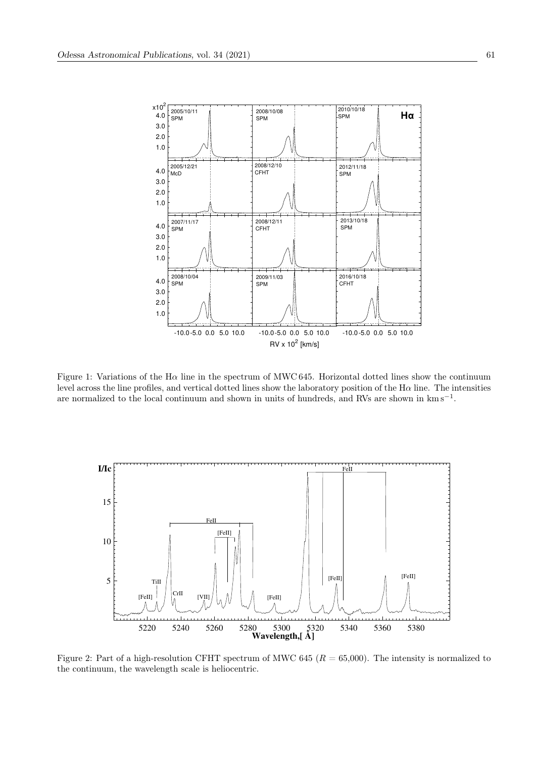

Figure 1: Variations of the H $\alpha$  line in the spectrum of MWC 645. Horizontal dotted lines show the continuum level across the line profiles, and vertical dotted lines show the laboratory position of the  $H\alpha$  line. The intensities are normalized to the local continuum and shown in units of hundreds, and RVs are shown in  $km s^{-1}$ .



Figure 2: Part of a high-resolution CFHT spectrum of MWC 645 ( $R = 65,000$ ). The intensity is normalized to the continuum, the wavelength scale is heliocentric.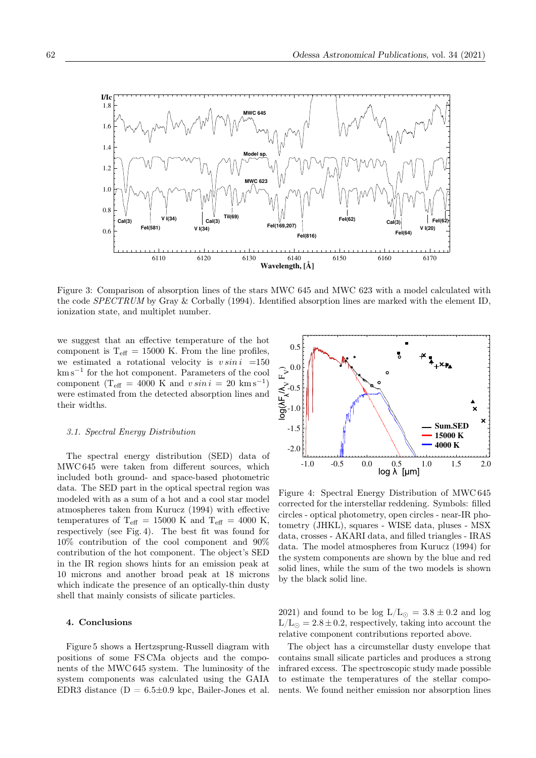

Figure 3: Comparison of absorption lines of the stars MWC 645 and MWC 623 with a model calculated with the code SPECTRUM by Gray & Corbally (1994). Identified absorption lines are marked with the element ID, ionization state, and multiplet number.

we suggest that an effective temperature of the hot component is  $T_{\text{eff}} = 15000$  K. From the line profiles, we estimated a rotational velocity is  $v \sin i =150$ km s<sup>−</sup><sup>1</sup> for the hot component. Parameters of the cool component ( $T_{\text{eff}}$  = 4000 K and  $v \sin i = 20 \text{ km s}^{-1}$ ) were estimated from the detected absorption lines and their widths.

### 3.1. Spectral Energy Distribution

The spectral energy distribution (SED) data of MWC 645 were taken from different sources, which included both ground- and space-based photometric data. The SED part in the optical spectral region was modeled with as a sum of a hot and a cool star model atmospheres taken from Kurucz (1994) with effective temperatures of T<sub>eff</sub> = 15000 K and T<sub>eff</sub> = 4000 K, respectively (see Fig. 4). The best fit was found for 10% contribution of the cool component and 90% contribution of the hot component. The object's SED in the IR region shows hints for an emission peak at 10 microns and another broad peak at 18 microns which indicate the presence of an optically-thin dusty shell that mainly consists of silicate particles.

### 4. Conclusions

Figure 5 shows a Hertzsprung-Russell diagram with positions of some FS CMa objects and the components of the MWC 645 system. The luminosity of the system components was calculated using the GAIA EDR3 distance  $(D = 6.5 \pm 0.9 \text{ kpc}$ , Bailer-Jones et al.



Figure 4: Spectral Energy Distribution of MWC 645 corrected for the interstellar reddening. Symbols: filled circles - optical photometry, open circles - near-IR photometry (JHKL), squares - WISE data, pluses - MSX data, crosses - AKARI data, and filled triangles - IRAS data. The model atmospheres from Kurucz (1994) for the system components are shown by the blue and red solid lines, while the sum of the two models is shown by the black solid line.

2021) and found to be log  $L/L_{\odot} = 3.8 \pm 0.2$  and log  $L/L_{\odot} = 2.8 \pm 0.2$ , respectively, taking into account the relative component contributions reported above.

The object has a circumstellar dusty envelope that contains small silicate particles and produces a strong infrared excess. The spectroscopic study made possible to estimate the temperatures of the stellar components. We found neither emission nor absorption lines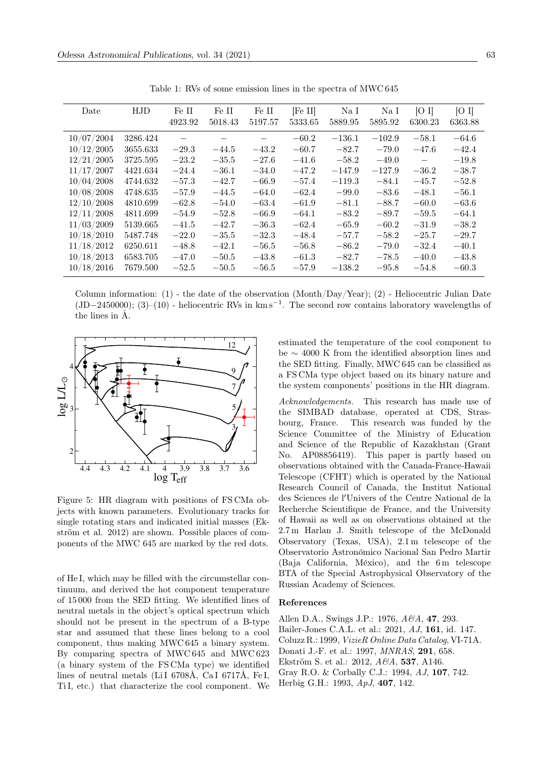| Date       | <b>HJD</b> | Fe II   | Fe II                           | Fe II   | [Fe II] | $\rm Na~\sc I$ | Na I     | [O I]                    | [O I]   |
|------------|------------|---------|---------------------------------|---------|---------|----------------|----------|--------------------------|---------|
|            |            | 4923.92 | 5018.43                         | 5197.57 | 5333.65 | 5889.95        | 5895.92  | 6300.23                  | 6363.88 |
| 10/07/2004 | 3286.424   |         | $\overbrace{\phantom{1232211}}$ |         | $-60.2$ | $-136.1$       | $-102.9$ | $-58.1$                  | $-64.6$ |
| 10/12/2005 | 3655.633   | $-29.3$ | $-44.5$                         | $-43.2$ | $-60.7$ | $-82.7$        | $-79.0$  | $-47.6$                  | $-42.4$ |
| 12/21/2005 | 3725.595   | $-23.2$ | $-35.5$                         | $-27.6$ | $-41.6$ | $-58.2$        | $-49.0$  | $\overline{\phantom{m}}$ | $-19.8$ |
| 11/17/2007 | 4421.634   | $-24.4$ | $-36.1$                         | $-34.0$ | $-47.2$ | $-147.9$       | $-127.9$ | $-36.2$                  | $-38.7$ |
| 10/04/2008 | 4744.632   | $-57.3$ | $-42.7$                         | $-66.9$ | $-57.4$ | $-119.3$       | $-84.1$  | $-45.7$                  | $-52.8$ |
| 10/08/2008 | 4748.635   | $-57.9$ | $-44.5$                         | $-64.0$ | $-62.4$ | $-99.0$        | $-83.6$  | $-48.1$                  | $-56.1$ |
| 12/10/2008 | 4810.699   | $-62.8$ | $-54.0$                         | $-63.4$ | $-61.9$ | $-81.1$        | $-88.7$  | $-60.0$                  | $-63.6$ |
| 12/11/2008 | 4811.699   | $-54.9$ | $-52.8$                         | $-66.9$ | $-64.1$ | $-83.2$        | $-89.7$  | $-59.5$                  | $-64.1$ |
| 11/03/2009 | 5139.665   | $-41.5$ | $-42.7$                         | $-36.3$ | $-62.4$ | $-65.9$        | $-60.2$  | $-31.9$                  | $-38.2$ |
| 10/18/2010 | 5487.748   | $-22.0$ | $-35.5$                         | $-32.3$ | $-48.4$ | $-57.7$        | $-58.2$  | $-25.7$                  | $-29.7$ |
| 11/18/2012 | 6250.611   | $-48.8$ | $-42.1$                         | $-56.5$ | $-56.8$ | $-86.2$        | $-79.0$  | $-32.4$                  | $-40.1$ |
| 10/18/2013 | 6583.705   | $-47.0$ | $-50.5$                         | $-43.8$ | $-61.3$ | $-82.7$        | $-78.5$  | $-40.0$                  | $-43.8$ |
| 10/18/2016 | 7679.500   | $-52.5$ | $-50.5$                         | $-56.5$ | $-57.9$ | $-138.2$       | $-95.8$  | $-54.8$                  | $-60.3$ |

Table 1: RVs of some emission lines in the spectra of MWC 645

Column information: (1) - the date of the observation (Month/Day/Year); (2) - Heliocentric Julian Date  $(JD-2450000)$ ;  $(3)-(10)$  - heliocentric RVs in  $km s^{-1}$ . The second row contains laboratory wavelengths of the lines in A.



Figure 5: HR diagram with positions of FSCMa objects with known parameters. Evolutionary tracks for single rotating stars and indicated initial masses (Ekström et al. 2012) are shown. Possible places of components of the MWC 645 are marked by the red dots.

of He I, which may be filled with the circumstellar continuum, and derived the hot component temperature of 15000 from the SED fitting. We identified lines of neutral metals in the object's optical spectrum which should not be present in the spectrum of a B-type star and assumed that these lines belong to a cool component, thus making MWC645 a binary system. By comparing spectra of MWC645 and MWC623 (a binary system of the FSCMa type) we identified lines of neutral metals (LiI 6708Å, CaI 6717Å, FeI, TiI, etc.) that characterize the cool component. We estimated the temperature of the cool component to be  $\sim$  4000 K from the identified absorption lines and the SED fitting. Finally, MWC 645 can be classified as a FS CMa type object based on its binary nature and the system components' positions in the HR diagram.

Acknowledgements. This research has made use of the SIMBAD database, operated at CDS, Strasbourg, France. This research was funded by the Science Committee of the Ministry of Education and Science of the Republic of Kazakhstan (Grant AP08856419). This paper is partly based on  $N_{\Omega}$ observations obtained with the Canada-France-Hawaii Telescope (CFHT) which is operated by the National Research Council of Canada, the Institut National des Sciences de l'Univers of the Centre National de la Recherche Scientifique de France, and the University of Hawaii as well as on observations obtained at the 2.7 m Harlan J. Smith telescope of the McDonald Observatory (Texas, USA), 2.1m telescope of the Observatorio Astronómico Nacional San Pedro Martir (Baja California, México), and the 6m telescope BTA of the Special Astrophysical Observatory of the Russian Academy of Sciences.

#### References

Allen D.A., Swings J.P.: 1976, A&A, 47, 293. Bailer-Jones C.A.L. et al.: 2021, AJ, 161, id. 147. Coluzz R.: 1999, VizieR Online Data Catalog, VI-71A. Donati J.-F. et al.: 1997, *MNRAS*, 291, 658. Ekström S. et al.: 2012, A&A, 537, A146. Gray R.O. & Corbally C.J.: 1994, AJ, 107, 742. Herbig G.H.: 1993, ApJ, 407, 142.